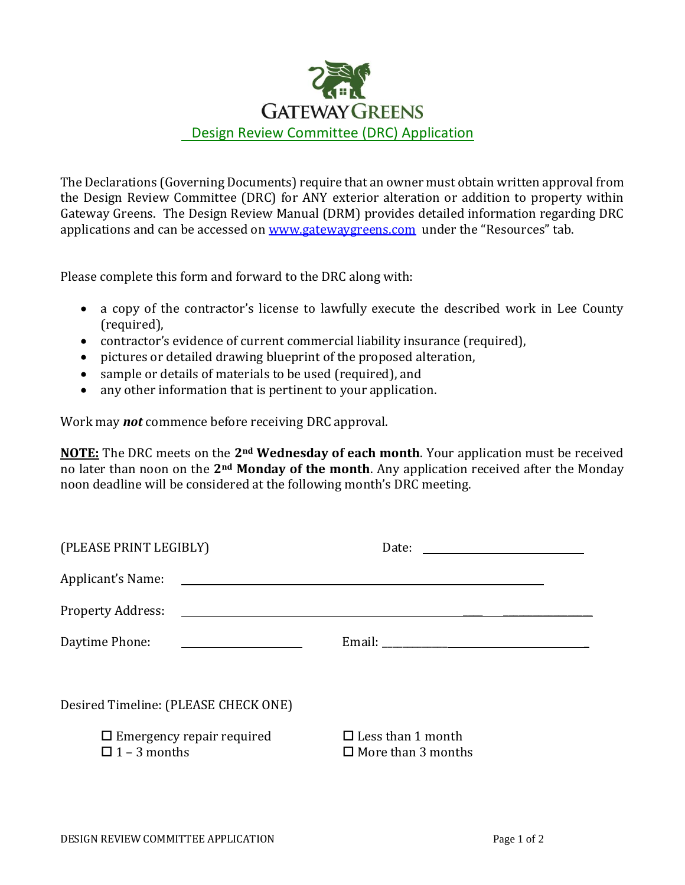

The Declarations (Governing Documents) require that an owner must obtain written approval from the Design Review Committee (DRC) for ANY exterior alteration or addition to property within Gateway Greens. The Design Review Manual (DRM) provides detailed information regarding DRC applications and can be accessed on [www.gatewaygreens.com](http://www.gatewaygreens.com/) under the "Resources" tab.

Please complete this form and forward to the DRC along with:

- a copy of the contractor's license to lawfully execute the described work in Lee County (required),
- contractor's evidence of current commercial liability insurance (required),
- pictures or detailed drawing blueprint of the proposed alteration,
- sample or details of materials to be used (required), and
- any other information that is pertinent to your application.

Work may *not* commence before receiving DRC approval.

**NOTE:** The DRC meets on the **2nd Wednesday of each month**. Your application must be received no later than noon on the **2nd Monday of the month**. Any application received after the Monday noon deadline will be considered at the following month's DRC meeting.

| (PLEASE PRINT LEGIBLY)                                  | Date: $\frac{1}{\sqrt{1-\frac{1}{2}} \cdot \frac{1}{2}}$ |
|---------------------------------------------------------|----------------------------------------------------------|
|                                                         |                                                          |
|                                                         |                                                          |
| Daytime Phone:                                          |                                                          |
|                                                         |                                                          |
| Desired Timeline: (PLEASE CHECK ONE)                    |                                                          |
| $\Box$ Emergency repair required<br>$\Box$ 1 – 3 months | $\Box$ Less than 1 month<br>$\Box$ More than 3 months    |